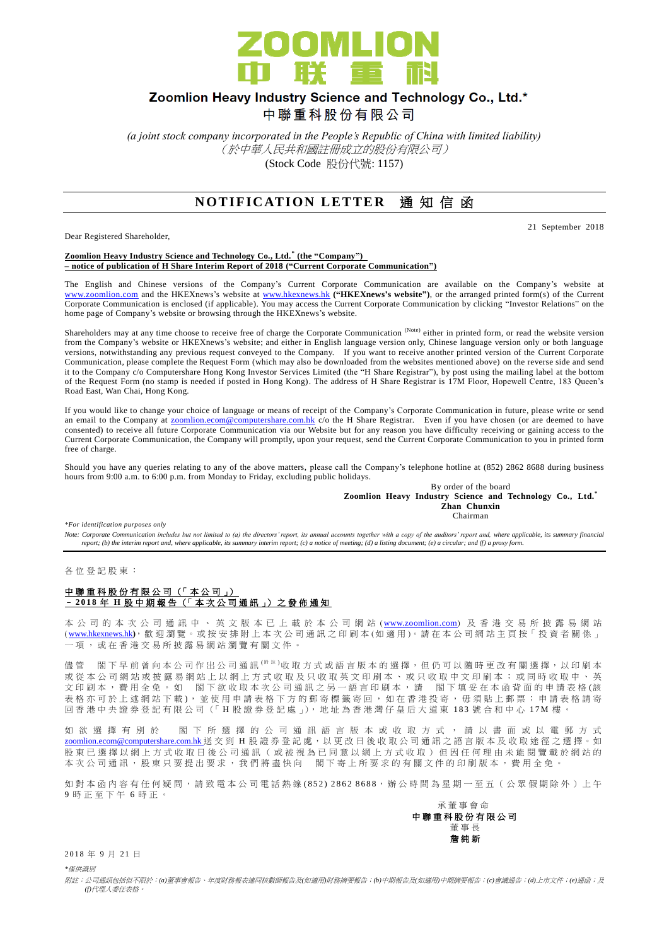

## Zoomlion Heavy Industry Science and Technology Co., Ltd.\*

中聯重科股份有限公司

*(a joint stock company incorporated in the People's Republic of China with limited liability)* (於中華人民共和國註冊成立的股份有限公司) (Stock Code 股份代號: 1157)

### **NOTIFICATION LETTER** 通知信函

Dear Registered Shareholder,

21 September 2018

**Zoomlion Heavy Industry Science and Technology Co., Ltd. \* (the "Company") – notice of publication of H Share Interim Report of 2018 ("Current Corporate Communication")**

The English and Chinese versions of the Company's Current Corporate Communication are available on the Company's website at [www.zoomlion.com](http://www.zoomlion.com/) and the HKEXnews's website at [www.hkexnews.hk](http://www.hkexnews.hk/) **("HKEXnews's website")**, or the arranged printed form(s) of the Current Corporate Communication is enclosed (if applicable). You may access the Current Corporate Communication by clicking "Investor Relations" on the home page of Company's website or browsing through the HKEXnews's website.

Shareholders may at any time choose to receive free of charge the Corporate Communication<sup>(Note)</sup> either in printed form, or read the website version from the Company's website or HKEXnews's website; and either in English language version only, Chinese language version only or both language versions, notwithstanding any previous request conveyed to the Company. If you want to receive another printed version of the Current Corporate Communication, please complete the Request Form (which may also be downloaded from the websites mentioned above) on the reverse side and send it to the Company c/o Computershare Hong Kong Investor Services Limited (the "H Share Registrar"), by post using the mailing label at the bottom of the Request Form (no stamp is needed if posted in Hong Kong). The address of H Share Registrar is 17M Floor, Hopewell Centre, 183 Queen's Road East, Wan Chai, Hong Kong.

If you would like to change your choice of language or means of receipt of the Company's Corporate Communication in future, please write or send an email to the Company at [zoomlion.ecom@computershare.com.hk](file://oceania/hongkong/Data/G13GROUP/Project/Zoomlion/eComm/eComm%202013%20Annual/zoomlion.ecom@computershare.com.hk) c/o the H Share Registrar. Even if you have chosen (or are deemed to have consented) to receive all future Corporate Communication via our Website but for any reason you have difficulty receiving or gaining access to the Current Corporate Communication, the Company will promptly, upon your request, send the Current Corporate Communication to you in printed form free of charge.

Should you have any queries relating to any of the above matters, please call the Company's telephone hotline at (852) 2862 8688 during business hours from 9:00 a.m. to 6:00 p.m. from Monday to Friday, excluding public holidays.

> By order of the board **Zoomlion Heavy Industry Science and Technology Co., Ltd.\* Zhan Chunxin** Chairman

*\*For identification purposes only* 

Note: Corporate Communication includes but not limited to (a) the directors' report, its annual accounts together with a copy of the auditors' report and, where applicable, its summary financial<br>report; (b) the interim rep

各 位 登 記 股 東 :

#### 中聯重科股份有限公司 (「本公司」) – **2 0 1 8** 年 **H** 股中期報告 (「 本 次 公司通訊 」) 之 發 佈 通 知

本 公 司 的 本 次 公 司 通 訊 中 、 英 文 版 本 已 上 載 於 本 公 司 網 站 ([www.zoomlion.com](http://www.zoomlion.com/)) 及 香 港 交 易 所 披 露 易 網 站 ( [www.hkexnews.hk](http://www.hkexnews.hk/)**)**, 歡 迎 瀏 覽 。或 按 安 排 附 上 本 次 公 司 通 訊 之印刷本 (如適用 )。 請 在 本 公 司 網 站 主 頁 按「 投 資 者 關 係 」 一項, 或 在 香 港 交 易 所 披 露 易 網 站 瀏 覽 有 關 文 件 。

儘管 閣下早前曾向本公司作出公司通訊<sup>( 附註 )</sup>收取方式或語言版本的選擇,但仍可以隨時更改有關選擇,以印刷本 或 從 本 公 司 網 站 或 披 露 易 網 站 上 以 網 上 方 式 收 取 及 只 收 取 英 文 印 刷 本 、 或 只 收 取 中 文 印 刷 本 ; 或 同 時 收 取 中 、 英 文印刷本,費用全免。如 閣下欲收取本次公司通訊之另一語言印刷本,請 閣下填妥在本函背面的申請表格(該 表格亦可於上述網站下載), 並使用申請表格下方的郵寄標籤寄回, 如在香港投寄, 毋須貼上郵票; 申請表格請寄 回 香 港 中 央 證 券 登 記 有 限 公 司 (「 H 股 證 券 登 記 處 」), 地 址 為 香 港 灣 仔 皇 后 大 道 東 183 號合和中心 17M 樓 。

如 欲 選 擇 有 別 於 閣 下 所 選 擇 的 公 司 通 訊 語 言 版 本 或 收 取 方 式 , 請 以 書 面 或 以 電 郵 方 式 [zoomlion.ecom@computershare.com.hk](mailto:zoomlion.ecom@computershare.com.hk) 送 交 到 H 股 證 券 登 記 處, 以 更 改 日 後 收 取 公 司 通 訊 之 語 言 版 本 及 收 取 途 徑 之 選 擇 。 如 股 東 已 選 擇 以 網 上 方 式 收 取 日 後 公 司 通 訊 ( 或 被 視 為 已 同 意 以 網 上 方 式 收 取 ) 但 因 任 何 理 由 未 能 閲 覽 載 於 網 站 的 本 次 公 司 通 訊 , 股 東 只 要 提 出 要 求 , 我 們 將 盡 快 向 <br>閣 下 寄 上 所 要 求 的 有 關 文 件 的 印 刷 版 本 , 費 用 全 免

如對本函內容有任何疑問,請致電本公司電話熱線(852) 2862 8688,辦公時間為星期一至五 (公眾假期除外)上午 9 時正至下午 6 時 正 。



2018年9月21日

*\**僅供識別

附註:公司通訊包括但不限於:*(a)*董事會報告、年度財務報表連同核數師報告及*(*如適用*)*財務摘要報告;*(b)*中期報告及*(*如適用*)*中期摘要報告;*(c)*會議通告;*(d)*上市文件;*(e)*通函;及 *(f)*代理人委任表格。